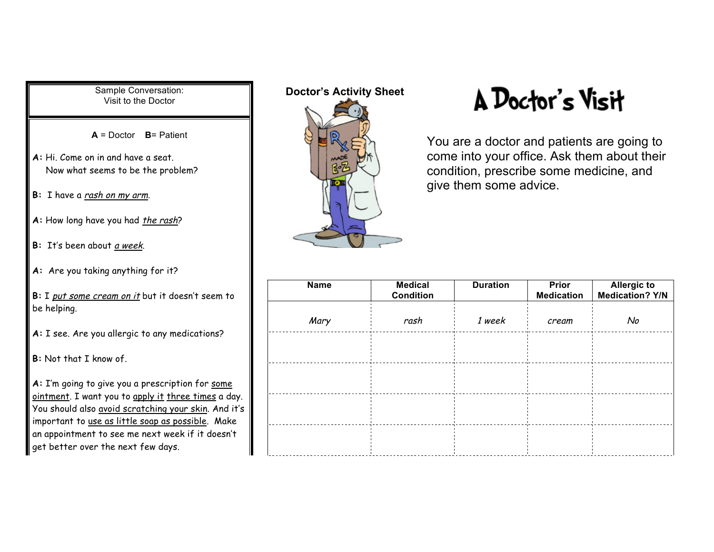Sample Conversation: Visit to the Doctor

**A** = Doctor **B**= Patient

- **A:** Hi. Come on in and have a seat. Now what seems to be the problem?
- **B:** I have a rash on my arm.
- A: How long have you had *the rash*?
- **B:** It's been about a week.
- **A:** Are you taking anything for it?
- **B:** I put some cream on it but it doesn't seem to be helping.
- **A:** I see. Are you allergic to any medications?
- **B:** Not that I know of.

**A:** I'm going to give you a prescription for some ointment. I want you to apply it three times a day. You should also avoid scratching your skin. And it's important to use as little soap as possible. Make an appointment to see me next week if it doesn't get better over the next few days.

## **Doctor's Activity Sheet**



## A Doctor's Visit

You are a doctor and patients are going to come into your office. Ask them about their condition, prescribe some medicine, and give them some advice.

| <b>Name</b> | <b>Medical</b><br><b>Condition</b> | <b>Duration</b> | <b>Prior</b><br><b>Medication</b> | <b>Allergic to</b><br><b>Medication? Y/N</b> |
|-------------|------------------------------------|-----------------|-----------------------------------|----------------------------------------------|
| Mary        | rash                               | 1 week          | cream                             | No                                           |
|             |                                    |                 |                                   |                                              |
|             |                                    |                 |                                   |                                              |
|             |                                    |                 |                                   |                                              |
|             |                                    |                 |                                   |                                              |